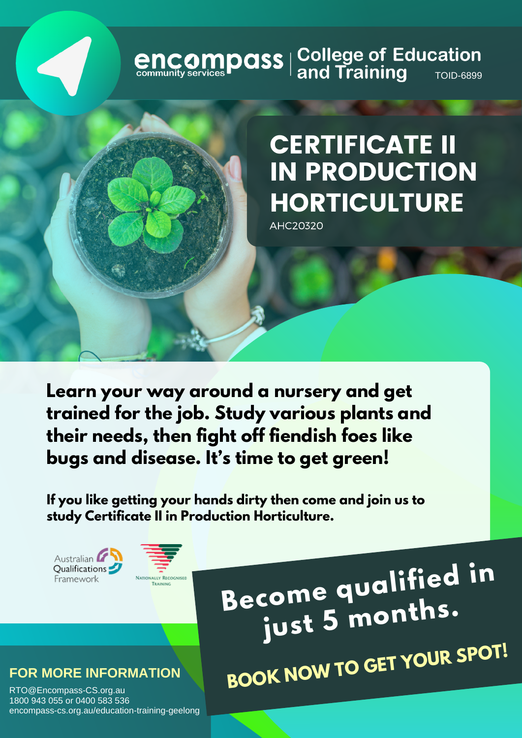# **encompass** | College of Education<br>
community services **Paral State of Additional Additional Additional Proper**

## CERTIFICATE II IN PRODUCTION **HORTICULTURE**

AHC20320

**Learn your way around a nursery and get trained for the job. Study various plants and their needs, then fight off fiendish foes like bugs and disease. It's time to get green!**

**If you like getting your hands dirty then come and join us to study Certificate II in Production Horticulture.**

Australian Qualifications Framework



**Become qualified in just <sup>5</sup> months. BOOK NOW TO GET YOUR SPOT!**

#### **FOR MORE INFORMATION**

RTO@Encompass-CS.org.au 1800 943 055 or 0400 583 536 encompass-cs.org.au/education-training-geelong